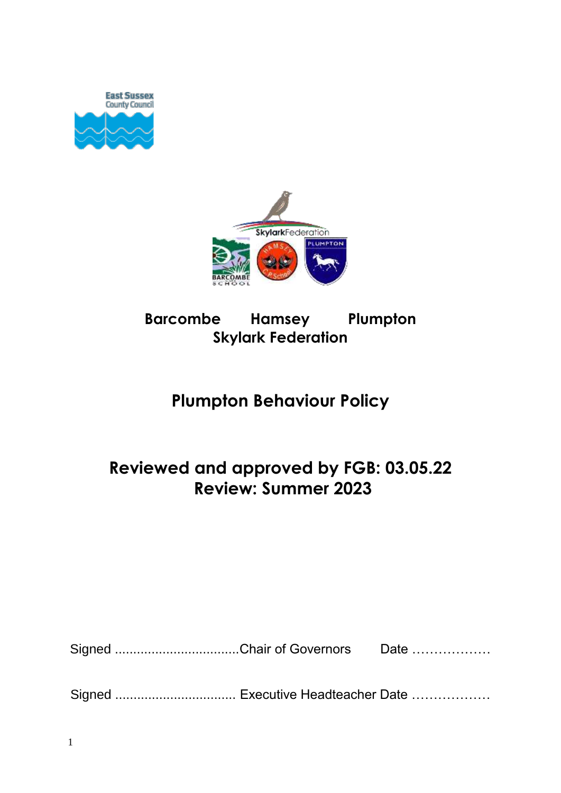



# **Barcombe Hamsey Plumpton Skylark Federation**

# **Plumpton Behaviour Policy**

# **Reviewed and approved by FGB: 03.05.22 Review: Summer 2023**

| Signed Chair of Governors Date |  |
|--------------------------------|--|
|--------------------------------|--|

Signed ................................. Executive Headteacher Date ………………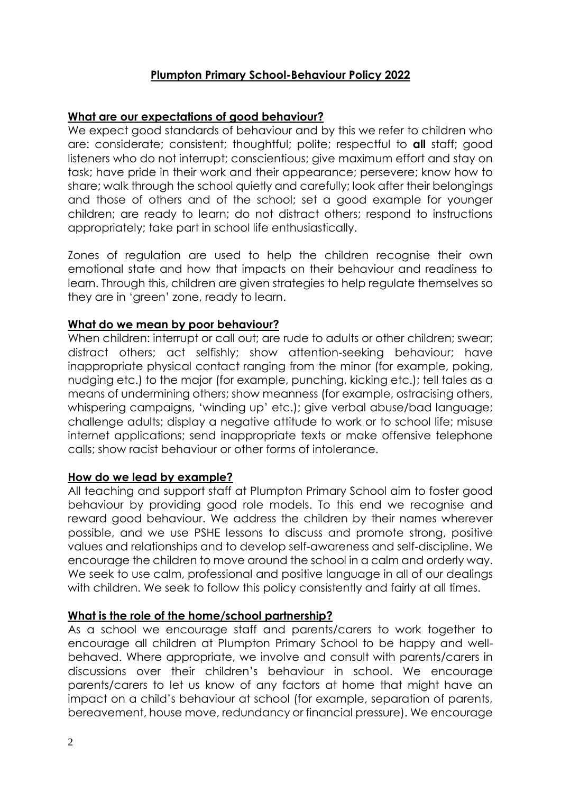## **Plumpton Primary School-Behaviour Policy 2022**

## **What are our expectations of good behaviour?**

We expect good standards of behaviour and by this we refer to children who are: considerate; consistent; thoughtful; polite; respectful to **all** staff; good listeners who do not interrupt; conscientious; give maximum effort and stay on task; have pride in their work and their appearance; persevere; know how to share; walk through the school quietly and carefully; look after their belongings and those of others and of the school; set a good example for younger children; are ready to learn; do not distract others; respond to instructions appropriately; take part in school life enthusiastically.

Zones of regulation are used to help the children recognise their own emotional state and how that impacts on their behaviour and readiness to learn. Through this, children are given strategies to help regulate themselves so they are in 'green' zone, ready to learn.

## **What do we mean by poor behaviour?**

When children: interrupt or call out; are rude to adults or other children; swear; distract others; act selfishly; show attention-seeking behaviour; have inappropriate physical contact ranging from the minor (for example, poking, nudging etc.) to the major (for example, punching, kicking etc.); tell tales as a means of undermining others; show meanness (for example, ostracising others, whispering campaigns, 'winding up' etc.); give verbal abuse/bad language; challenge adults; display a negative attitude to work or to school life; misuse internet applications; send inappropriate texts or make offensive telephone calls; show racist behaviour or other forms of intolerance.

## **How do we lead by example?**

All teaching and support staff at Plumpton Primary School aim to foster good behaviour by providing good role models. To this end we recognise and reward good behaviour. We address the children by their names wherever possible, and we use PSHE lessons to discuss and promote strong, positive values and relationships and to develop self-awareness and self-discipline. We encourage the children to move around the school in a calm and orderly way. We seek to use calm, professional and positive language in all of our dealings with children. We seek to follow this policy consistently and fairly at all times.

## **What is the role of the home/school partnership?**

As a school we encourage staff and parents/carers to work together to encourage all children at Plumpton Primary School to be happy and wellbehaved. Where appropriate, we involve and consult with parents/carers in discussions over their children's behaviour in school. We encourage parents/carers to let us know of any factors at home that might have an impact on a child's behaviour at school (for example, separation of parents, bereavement, house move, redundancy or financial pressure). We encourage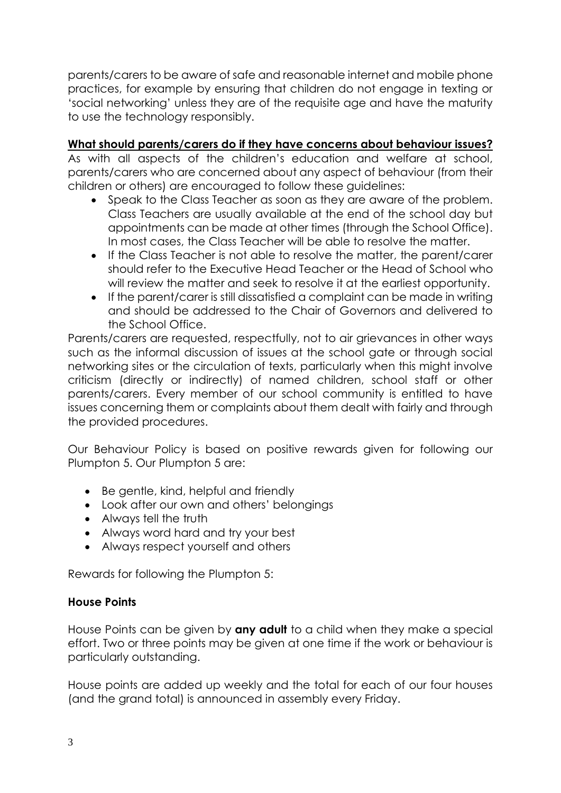parents/carers to be aware of safe and reasonable internet and mobile phone practices, for example by ensuring that children do not engage in texting or 'social networking' unless they are of the requisite age and have the maturity to use the technology responsibly.

# **What should parents/carers do if they have concerns about behaviour issues?**

As with all aspects of the children's education and welfare at school, parents/carers who are concerned about any aspect of behaviour (from their children or others) are encouraged to follow these guidelines:

- Speak to the Class Teacher as soon as they are aware of the problem. Class Teachers are usually available at the end of the school day but appointments can be made at other times (through the School Office). In most cases, the Class Teacher will be able to resolve the matter.
- If the Class Teacher is not able to resolve the matter, the parent/carer should refer to the Executive Head Teacher or the Head of School who will review the matter and seek to resolve it at the earliest opportunity.
- If the parent/carer is still dissatisfied a complaint can be made in writing and should be addressed to the Chair of Governors and delivered to the School Office.

Parents/carers are requested, respectfully, not to air grievances in other ways such as the informal discussion of issues at the school gate or through social networking sites or the circulation of texts, particularly when this might involve criticism (directly or indirectly) of named children, school staff or other parents/carers. Every member of our school community is entitled to have issues concerning them or complaints about them dealt with fairly and through the provided procedures.

Our Behaviour Policy is based on positive rewards given for following our Plumpton 5. Our Plumpton 5 are:

- Be gentle, kind, helpful and friendly
- Look after our own and others' belongings
- Always tell the truth
- Always word hard and try your best
- Always respect yourself and others

Rewards for following the Plumpton 5:

# **House Points**

House Points can be given by **any adult** to a child when they make a special effort. Two or three points may be given at one time if the work or behaviour is particularly outstanding.

House points are added up weekly and the total for each of our four houses (and the grand total) is announced in assembly every Friday.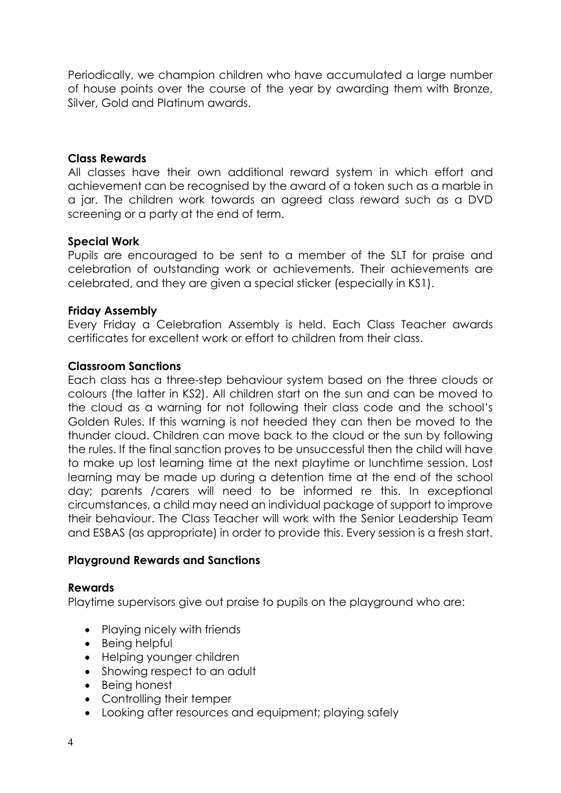Periodically, we champion children who have accumulated a large number of house points over the course of the year by awarding them with Bronze, Silver, Gold and Platinum awards.

### **Class Rewards**

All classes have their own additional reward system in which effort and achievement can be recognised by the award of a token such as a marble in a jar. The children work towards an agreed class reward such as a DVD screening or a party at the end of term.

## **Special Work**

Pupils are encouraged to be sent to a member of the SLT for praise and celebration of outstanding work or achievements. Their achievements are celebrated, and they are given a special sticker (especially in KS1).

### **Friday Assembly**

Every Friday a Celebration Assembly is held. Each Class Teacher awards certificates for excellent work or effort to children from their class.

### **Classroom Sanctions**

Each class has a three-step behaviour system based on the three clouds or colours (the latter in KS2). All children start on the sun and can be moved to the cloud as a warning for not following their class code and the school's Golden Rules. If this warning is not heeded they can then be moved to the thunder cloud. Children can move back to the cloud or the sun by following the rules. If the final sanction proves to be unsuccessful then the child will have to make up lost learning time at the next playtime or lunchtime session. Lost learning may be made up during a detention time at the end of the school day; parents /carers will need to be informed re this. In exceptional circumstances, a child may need an individual package of support to improve their behaviour. The Class Teacher will work with the Senior Leadership Team and ESBAS (as appropriate) in order to provide this. Every session is a fresh start.

#### **Playground Rewards and Sanctions**

#### **Rewards**

Playtime supervisors give out praise to pupils on the playground who are:

- Playing nicely with friends
- Being helpful
- Helping younger children
- Showing respect to an adult
- Being honest
- Controlling their temper
- Looking after resources and equipment; playing safely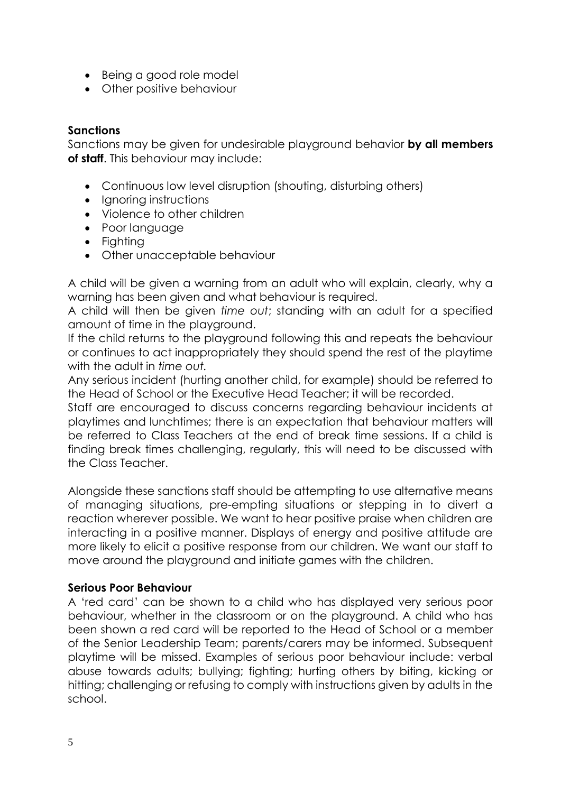- Being a good role model
- Other positive behaviour

## **Sanctions**

Sanctions may be given for undesirable playground behavior **by all members of staff**. This behaviour may include:

- Continuous low level disruption (shouting, disturbing others)
- Ignoring instructions
- Violence to other children
- Poor language
- Fighting
- Other unacceptable behaviour

A child will be given a warning from an adult who will explain, clearly, why a warning has been given and what behaviour is required.

A child will then be given *time out*; standing with an adult for a specified amount of time in the playground.

If the child returns to the playground following this and repeats the behaviour or continues to act inappropriately they should spend the rest of the playtime with the adult in *time out.*

Any serious incident (hurting another child, for example) should be referred to the Head of School or the Executive Head Teacher; it will be recorded.

Staff are encouraged to discuss concerns regarding behaviour incidents at playtimes and lunchtimes; there is an expectation that behaviour matters will be referred to Class Teachers at the end of break time sessions. If a child is finding break times challenging, regularly, this will need to be discussed with the Class Teacher.

Alongside these sanctions staff should be attempting to use alternative means of managing situations, pre-empting situations or stepping in to divert a reaction wherever possible. We want to hear positive praise when children are interacting in a positive manner. Displays of energy and positive attitude are more likely to elicit a positive response from our children. We want our staff to move around the playground and initiate games with the children.

## **Serious Poor Behaviour**

A 'red card' can be shown to a child who has displayed very serious poor behaviour, whether in the classroom or on the playground. A child who has been shown a red card will be reported to the Head of School or a member of the Senior Leadership Team; parents/carers may be informed. Subsequent playtime will be missed. Examples of serious poor behaviour include: verbal abuse towards adults; bullying; fighting; hurting others by biting, kicking or hitting; challenging or refusing to comply with instructions given by adults in the school.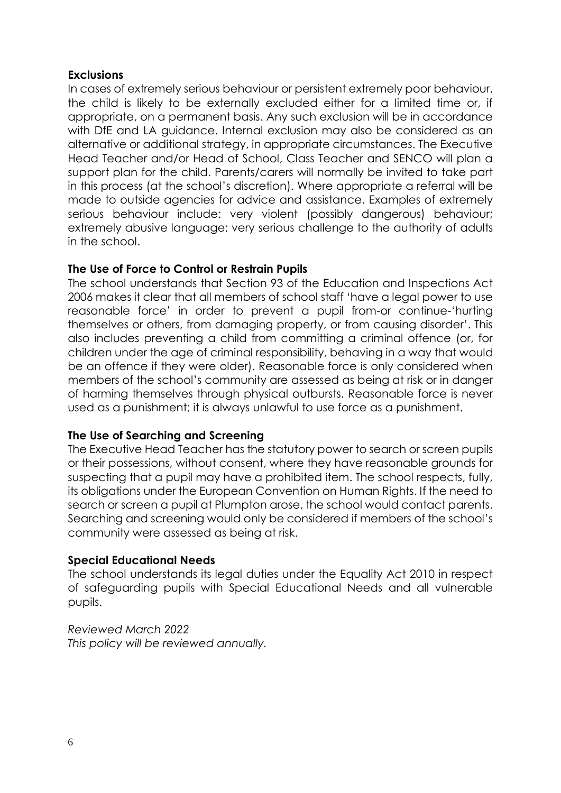## **Exclusions**

In cases of extremely serious behaviour or persistent extremely poor behaviour, the child is likely to be externally excluded either for a limited time or, if appropriate, on a permanent basis. Any such exclusion will be in accordance with DfE and LA guidance. Internal exclusion may also be considered as an alternative or additional strategy, in appropriate circumstances. The Executive Head Teacher and/or Head of School, Class Teacher and SENCO will plan a support plan for the child. Parents/carers will normally be invited to take part in this process (at the school's discretion). Where appropriate a referral will be made to outside agencies for advice and assistance. Examples of extremely serious behaviour include: very violent (possibly dangerous) behaviour; extremely abusive language; very serious challenge to the authority of adults in the school.

## **The Use of Force to Control or Restrain Pupils**

The school understands that Section 93 of the Education and Inspections Act 2006 makes it clear that all members of school staff 'have a legal power to use reasonable force' in order to prevent a pupil from-or continue-'hurting themselves or others, from damaging property, or from causing disorder'. This also includes preventing a child from committing a criminal offence (or, for children under the age of criminal responsibility, behaving in a way that would be an offence if they were older). Reasonable force is only considered when members of the school's community are assessed as being at risk or in danger of harming themselves through physical outbursts. Reasonable force is never used as a punishment; it is always unlawful to use force as a punishment.

## **The Use of Searching and Screening**

The Executive Head Teacher has the statutory power to search or screen pupils or their possessions, without consent, where they have reasonable grounds for suspecting that a pupil may have a prohibited item. The school respects, fully, its obligations under the European Convention on Human Rights. If the need to search or screen a pupil at Plumpton arose, the school would contact parents. Searching and screening would only be considered if members of the school's community were assessed as being at risk.

## **Special Educational Needs**

The school understands its legal duties under the Equality Act 2010 in respect of safeguarding pupils with Special Educational Needs and all vulnerable pupils.

*Reviewed March 2022 This policy will be reviewed annually.*